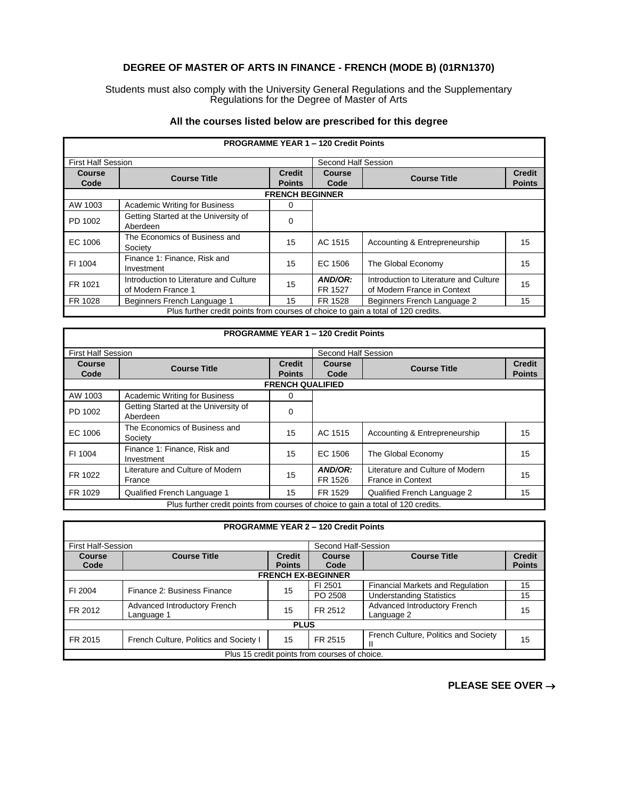## **DEGREE OF MASTER OF ARTS IN FINANCE - FRENCH (MODE B) (01RN1370)**

Students must also comply with the University General Regulations and the Supplementary Regulations for the Degree of Master of Arts

## **All the courses listed below are prescribed for this degree**

| <b>PROGRAMME YEAR 1 - 120 Credit Points</b>                                       |                                                              |               |                    |                                                                       |               |  |  |
|-----------------------------------------------------------------------------------|--------------------------------------------------------------|---------------|--------------------|-----------------------------------------------------------------------|---------------|--|--|
|                                                                                   | <b>First Half Session</b>                                    |               |                    | Second Half Session                                                   |               |  |  |
| Course                                                                            | <b>Course Title</b>                                          | <b>Credit</b> | <b>Course</b>      | <b>Course Title</b>                                                   | <b>Credit</b> |  |  |
| Code                                                                              |                                                              | <b>Points</b> | Code               |                                                                       | <b>Points</b> |  |  |
|                                                                                   | <b>FRENCH BEGINNER</b>                                       |               |                    |                                                                       |               |  |  |
| AW 1003                                                                           | <b>Academic Writing for Business</b>                         | 0             |                    |                                                                       |               |  |  |
| PD 1002                                                                           | Getting Started at the University of<br>Aberdeen             | $\Omega$      |                    |                                                                       |               |  |  |
| EC 1006                                                                           | The Economics of Business and<br>Society                     | 15            | AC 1515            | Accounting & Entrepreneurship                                         | 15            |  |  |
| FI 1004                                                                           | Finance 1: Finance, Risk and<br>Investment                   | 15            | EC 1506            | The Global Economy                                                    | 15            |  |  |
| FR 1021                                                                           | Introduction to Literature and Culture<br>of Modern France 1 | 15            | AND/OR:<br>FR 1527 | Introduction to Literature and Culture<br>of Modern France in Context | 15            |  |  |
| FR 1028                                                                           | Beginners French Language 1                                  | 15            | FR 1528            | Beginners French Language 2                                           | 15            |  |  |
| Plus further credit points from courses of choice to gain a total of 120 credits. |                                                              |               |                    |                                                                       |               |  |  |

|                                                                                   |                                      |                         | <b>PROGRAMME YEAR 1 - 120 Credit Points</b> |                                  |               |
|-----------------------------------------------------------------------------------|--------------------------------------|-------------------------|---------------------------------------------|----------------------------------|---------------|
| <b>First Half Session</b><br>Second Half Session                                  |                                      |                         |                                             |                                  |               |
| Course                                                                            | <b>Course Title</b>                  | <b>Credit</b>           | Course                                      | <b>Course Title</b>              | <b>Credit</b> |
| Code                                                                              |                                      | <b>Points</b>           | Code                                        |                                  | <b>Points</b> |
|                                                                                   |                                      | <b>FRENCH QUALIFIED</b> |                                             |                                  |               |
| AW 1003                                                                           | <b>Academic Writing for Business</b> | 0                       |                                             |                                  |               |
| PD 1002                                                                           | Getting Started at the University of | 0                       |                                             |                                  |               |
|                                                                                   | Aberdeen                             |                         |                                             |                                  |               |
| EC 1006                                                                           | The Economics of Business and        | 15                      | AC 1515                                     | Accounting & Entrepreneurship    | 15            |
|                                                                                   | Society                              |                         |                                             |                                  |               |
| FI 1004                                                                           | Finance 1: Finance, Risk and         | 15                      | EC 1506                                     | The Global Economy               | 15            |
|                                                                                   | Investment                           |                         |                                             |                                  |               |
| FR 1022                                                                           | Literature and Culture of Modern     | 15                      | AND/OR:                                     | Literature and Culture of Modern | 15            |
|                                                                                   | France                               |                         | FR 1526                                     | <b>France in Context</b>         |               |
| FR 1029                                                                           | Qualified French Language 1          | 15                      | FR 1529                                     | Qualified French Language 2      | 15            |
| Plus further credit points from courses of choice to gain a total of 120 credits. |                                      |                         |                                             |                                  |               |

| <b>PROGRAMME YEAR 2 - 120 Credit Points</b>   |                                                  |                                |                           |                                            |                                |
|-----------------------------------------------|--------------------------------------------------|--------------------------------|---------------------------|--------------------------------------------|--------------------------------|
|                                               | <b>First Half-Session</b><br>Second Half-Session |                                |                           |                                            |                                |
| Course<br>Code                                | <b>Course Title</b>                              | <b>Credit</b><br><b>Points</b> | Course<br>Code            | <b>Course Title</b>                        | <b>Credit</b><br><b>Points</b> |
|                                               |                                                  |                                | <b>FRENCH EX-BEGINNER</b> |                                            |                                |
| FI 2004                                       | Finance 2: Business Finance                      | 15                             | FI 2501                   | Financial Markets and Regulation           | 15                             |
|                                               |                                                  |                                | PO 2508                   | <b>Understanding Statistics</b>            | 15                             |
| FR 2012                                       | Advanced Introductory French<br>Language 1       | 15                             | FR 2512                   | Advanced Introductory French<br>Language 2 | 15                             |
| <b>PLUS</b>                                   |                                                  |                                |                           |                                            |                                |
| FR 2015                                       | French Culture, Politics and Society I           | 15                             | FR 2515                   | French Culture, Politics and Society<br>н  | 15                             |
| Plus 15 credit points from courses of choice. |                                                  |                                |                           |                                            |                                |

**PLEASE SEE OVER** →